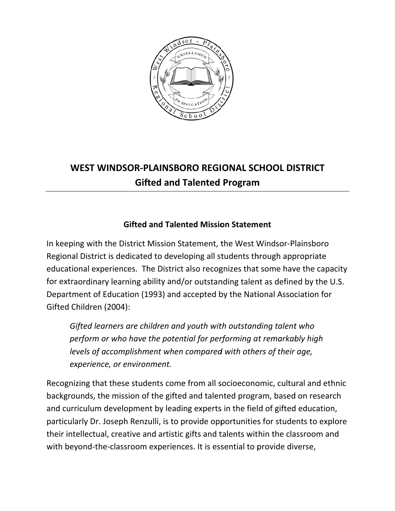

## WEST WINDSOR-PLAINSBORO REGIONAL SCHOOL DISTRICT **Gifted and Talented Program**

## **Gifted and Talented Mission Statement**

In keeping with the District Mission Statement, the West Windsor-Plainsboro Regional District is dedicated to developing all students through appropriate educational experiences. The District also recognizes that some have the capacity for extraordinary learning ability and/or outstanding talent as defined by the U.S. Department of Education (1993) and accepted by the National Association for Gifted Children (2004):

Gifted learners are children and youth with outstanding talent who perform or who have the potential for performing at remarkably high levels of accomplishment when compared with others of their age, experience, or environment.

Recognizing that these students come from all socioeconomic, cultural and ethnic backgrounds, the mission of the gifted and talented program, based on research and curriculum development by leading experts in the field of gifted education, particularly Dr. Joseph Renzulli, is to provide opportunities for students to explore their intellectual, creative and artistic gifts and talents within the classroom and with beyond-the-classroom experiences. It is essential to provide diverse,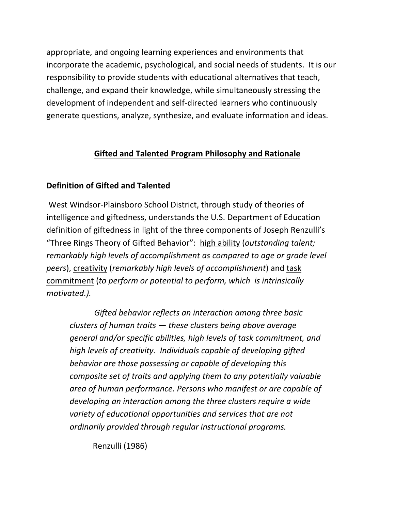appropriate, and ongoing learning experiences and environments that incorporate the academic, psychological, and social needs of students. It is our responsibility to provide students with educational alternatives that teach, challenge, and expand their knowledge, while simultaneously stressing the development of independent and self‐directed learners who continuously generate questions, analyze, synthesize, and evaluate information and ideas.

## **Gifted and Talented Program Philosophy and Rationale**

## **Definition of Gifted and Talented**

West Windsor‐Plainsboro School District, through study of theories of intelligence and giftedness, understands the U.S. Department of Education definition of giftedness in light of the three components of Joseph Renzulli's "Three Rings Theory of Gifted Behavior": high ability (*outstanding talent; remarkably high levels of accomplishment as compared to age or grade level peers*), creativity (*remarkably high levels of accomplishment*) and task commitment (*to perform or potential to perform, which is intrinsically motivated.).*

 *Gifted behavior reflects an interaction among three basic clusters of human traits — these clusters being above average general and/or specific abilities, high levels of task commitment, and high levels of creativity. Individuals capable of developing gifted behavior are those possessing or capable of developing this composite set of traits and applying them to any potentially valuable area of human performance. Persons who manifest or are capable of developing an interaction among the three clusters require a wide variety of educational opportunities and services that are not ordinarily provided through regular instructional programs.*

Renzulli (1986)